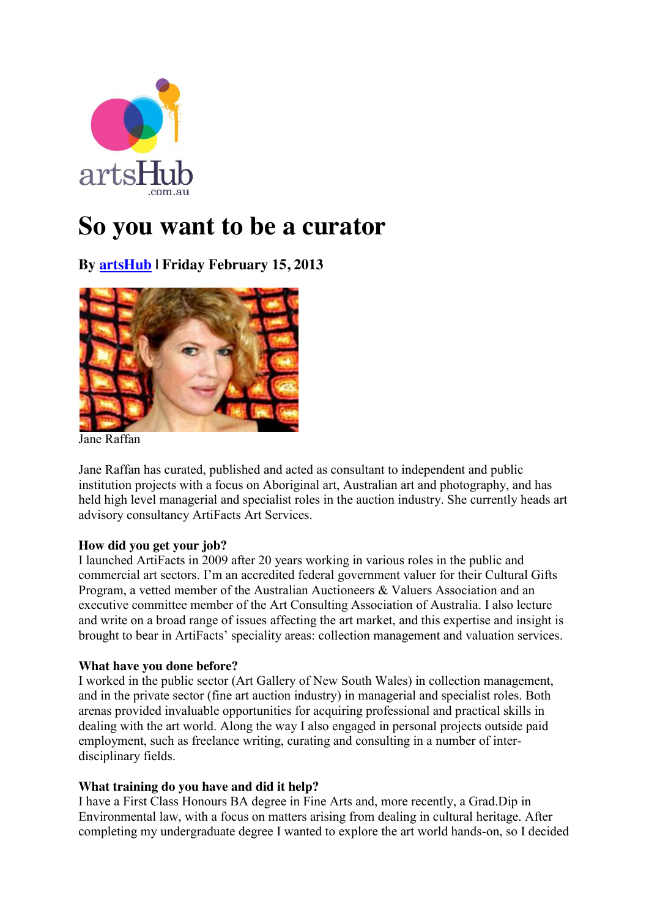

# **So you want to be a curator**

**By [artsHub](http://au.artshub.com/au/news-article/careeradvices/arts/so-you-want-to-be-a-curator-194165#contrib) | Friday February 15, 2013**



Jane Raffan

Jane Raffan has curated, published and acted as consultant to independent and public institution projects with a focus on Aboriginal art, Australian art and photography, and has held high level managerial and specialist roles in the auction industry. She currently heads art advisory consultancy ArtiFacts Art Services.

# **How did you get your job?**

I launched ArtiFacts in 2009 after 20 years working in various roles in the public and commercial art sectors. I'm an accredited federal government valuer for their Cultural Gifts Program, a vetted member of the Australian Auctioneers & Valuers Association and an executive committee member of the Art Consulting Association of Australia. I also lecture and write on a broad range of issues affecting the art market, and this expertise and insight is brought to bear in ArtiFacts' speciality areas: collection management and valuation services.

# **What have you done before?**

I worked in the public sector (Art Gallery of New South Wales) in collection management, and in the private sector (fine art auction industry) in managerial and specialist roles. Both arenas provided invaluable opportunities for acquiring professional and practical skills in dealing with the art world. Along the way I also engaged in personal projects outside paid employment, such as freelance writing, curating and consulting in a number of interdisciplinary fields.

# **What training do you have and did it help?**

I have a First Class Honours BA degree in Fine Arts and, more recently, a Grad.Dip in Environmental law, with a focus on matters arising from dealing in cultural heritage. After completing my undergraduate degree I wanted to explore the art world hands-on, so I decided